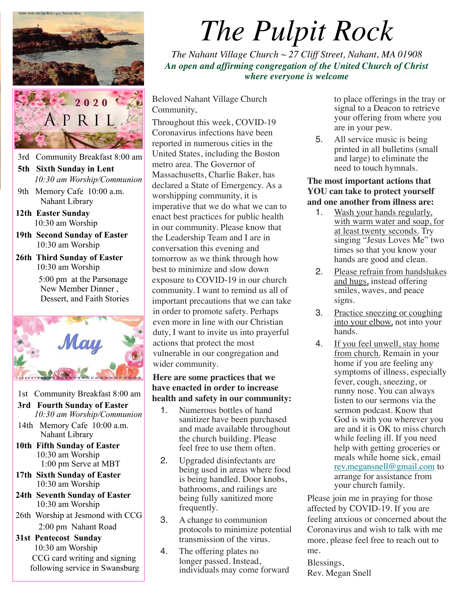

- 3rd Community Breakfast 8:00 am
- **5th Sixth Sunday in Lent**  *10:30 am Worship/Communion*
- 9th Memory Cafe 10:00 a.m. Nahant Library
- **12th Easter Sunday** 10:30 am Worship
- **19th Second Sunday of Easter**  10:30 am Worship
- **26th Third Sunday of Easter** 10:30 am Worship 5:00 pm at the Parsonage New Member Dinner , Dessert, and Faith Stories



- 1st Community Breakfast 8:00 am
- **3rd Fourth Sunday of Easter**  *10:30 am Worship/Communion*
- 14th Memory Cafe 10:00 a.m. Nahant Library
- **10th Fifth Sunday of Easter** 10:30 am Worship 1:00 pm Serve at MBT
- **17th Sixth Sunday of Easter**  10:30 am Worship
- **24th Seventh Sunday of Easter**  10:30 am Worship
- 26th Worship at Jesmond with CCG 2:00 pm Nahant Road

 **31st Pentecost Sunday**  10:30 am Worship CCG card writing and signing following service in Swansburg

# *The Pulpit Rock*

*The Nahant Village Church ~ 27 Cliff Street, Nahant, MA 01908 An open and affirming congregation of the United Church of Christ where everyone is welcome*

Beloved Nahant Village Church Community,

Throughout this week, COVID-19 Coronavirus infections have been reported in numerous cities in the United States, including the Boston metro area. The Governor of Massachusetts, Charlie Baker, has declared a State of Emergency. As a worshipping community, it is imperative that we do what we can to enact best practices for public health in our community. Please know that the Leadership Team and I are in conversation this evening and tomorrow as we think through how best to minimize and slow down exposure to COVID-19 in our church community. I want to remind us all of important precautions that we can take in order to promote safety. Perhaps even more in line with our Christian duty, I want to invite us into prayerful actions that protect the most vulnerable in our congregation and wider community.

#### **Here are some practices that we have enacted in order to increase health and safety in our community:**

- 1. Numerous bottles of hand sanitizer have been purchased and made available throughout the church building. Please feel free to use them often.
- 2. Upgraded disinfectants are being used in areas where food is being handled. Door knobs, bathrooms, and railings are being fully sanitized more frequently.
- 3. A change to communion protocols to minimize potential transmission of the virus.
- 4. The offering plates no longer passed. Instead, individuals may come forward

to place offerings in the tray or signal to a Deacon to retrieve your offering from where you are in your pew.

5. All service music is being printed in all bulletins (small and large) to eliminate the need to touch hymnals.

#### **The most important actions that YOU can take to protect yourself and one another from illness are:**

- 1. Wash your hands regularly, with warm water and soap, for at least twenty seconds. Try singing "Jesus Loves Me" two times so that you know your hands are good and clean.
- 2. Please refrain from handshakes and hugs, instead offering smiles, waves, and peace signs.
- 3. Practice sneezing or coughing into your elbow, not into your hands.
- 4. If you feel unwell, stay home from church. Remain in your home if you are feeling any symptoms of illness, especially fever, cough, sneezing, or runny nose. You can always listen to our sermons via the sermon podcast. Know that God is with you wherever you are and it is OK to miss church while feeling ill. If you need help with getting groceries or meals while home sick, email [rev.megansnell@gmail.com](mailto:rev.megansnell@gmail.com) to arrange for assistance from your church family.

Please join me in praying for those affected by COVID-19. If you are feeling anxious or concerned about the Coronavirus and wish to talk with me more, please feel free to reach out to me.

Blessings, Rev. Megan Snell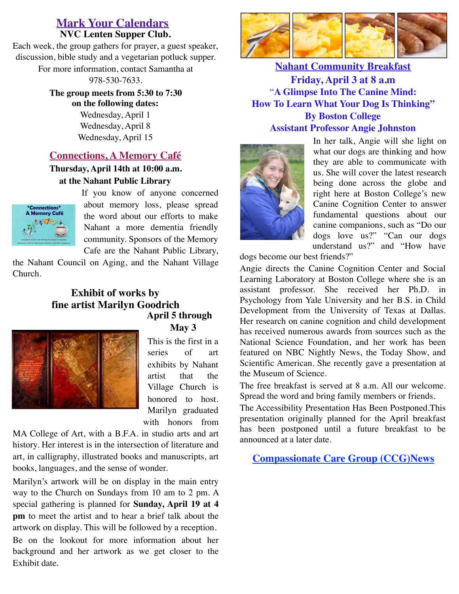#### **NVC Lenten Supper Club. Mark Your Calendars**

Each week, the group gathers for prayer, a guest speaker, discussion, bible study and a vegetarian potluck supper. For more information, contact Samantha at

978-530-7633.

**The group meets from 5:30 to 7:30 on the following dates:** Wednesday, April 1 Wednesday, April 8 Wednesday, April 15

### **Connections, A Memory Café**

**Thursday, April 14th at 10:00 a.m. at the Nahant Public Library**



If you know of anyone concerned about memory loss, please spread the word about our efforts to make Nahant a more dementia friendly community. Sponsors of the Memory Cafe are the Nahant Public Library,

the Nahant Council on Aging, and the Nahant Village Church.

#### **Exhibit of works by fine artist Marilyn Goodrich April 5 through May 3**



This is the first in a series of art exhibits by Nahant artist that the Village Church is honored to host. Marilyn graduated with honors from

MA College of Art, with a B.F.A. in studio arts and art history. Her interest is in the intersection of literature and art, in calligraphy, illustrated books and manuscripts, art books, languages, and the sense of wonder.

Marilyn's artwork will be on display in the main entry way to the Church on Sundays from 10 am to 2 pm. A special gathering is planned for **Sunday, April 19 at 4 pm** to meet the artist and to hear a brief talk about the artwork on display. This will be followed by a reception. Be on the lookout for more information about her background and her artwork as we get closer to the Exhibit date.



**Nahant Community Breakfast Friday, April 3 at 8 a.m**  "**A Glimpse Into The Canine Mind: How To Learn What Your Dog Is Thinking" By Boston College Assistant Professor Angie Johnston**



In her talk, Angie will she light on what our dogs are thinking and how they are able to communicate with us. She will cover the latest research being done across the globe and right here at Boston College's new Canine Cognition Center to answer fundamental questions about our canine companions, such as "Do our dogs love us?" "Can our dogs understand us?" and "How have

dogs become our best friends?"

Angie directs the Canine Cognition Center and Social Learning Laboratory at Boston College where she is an assistant professor. She received her Ph.D. in Psychology from Yale University and her B.S. in Child Development from the University of Texas at Dallas. Her research on canine cognition and child development has received numerous awards from sources such as the National Science Foundation, and her work has been featured on NBC Nightly News, the Today Show, and Scientific American. She recently gave a presentation at the Museum of Science.

The free breakfast is served at 8 a.m. All our welcome. Spread the word and bring family members or friends.

The Accessibility Presentation Has Been Postponed.This presentation originally planned for the April breakfast has been postponed until a future breakfast to be announced at a later date.

**Compassionate Care Group (CCG)News**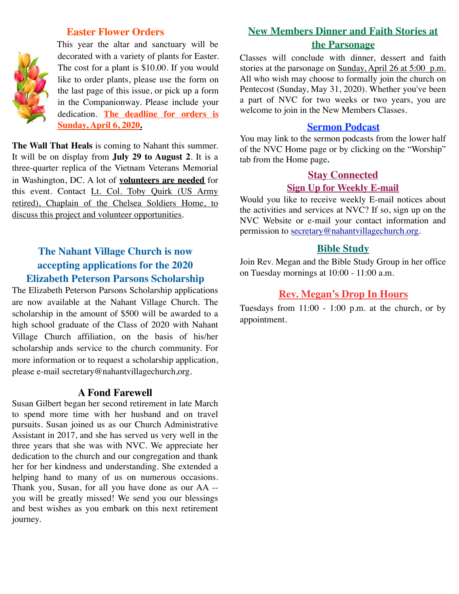#### **Easter Flower Orders**

This year the altar and sanctuary will be decorated with a variety of plants for Easter. The cost for a plant is \$10.00. If you would like to order plants, please use the form on the last page of this issue, or pick up a form in the Companionway. Please include your dedication. **The deadline for orders is Sunday, April 6, 2020.**

**The Wall That Heals** is coming to Nahant this summer. It will be on display from **July 29 to August 2**. It is a three-quarter replica of the Vietnam Veterans Memorial in Washington, DC. A lot of **volunteers are needed** for this event. Contact Lt. Col. Toby Quirk (US Army retired), Chaplain of the Chelsea Soldiers Home, to discuss this project and volunteer opportunities.

# **The Nahant Village Church is now accepting applications for the 2020 Elizabeth Peterson Parsons Scholarship**

The Elizabeth Peterson Parsons Scholarship applications are now available at the Nahant Village Church. The scholarship in the amount of \$500 will be awarded to a high school graduate of the Class of 2020 with Nahant Village Church affiliation, on the basis of his/her scholarship ands service to the church community. For more information or to request a scholarship application, please e-mail secretary@nahantvillagechurch,org.

#### **A Fond Farewell**

Susan Gilbert began her second retirement in late March to spend more time with her husband and on travel pursuits. Susan joined us as our Church Administrative Assistant in 2017, and she has served us very well in the three years that she was with NVC. We appreciate her dedication to the church and our congregation and thank her for her kindness and understanding. She extended a helping hand to many of us on numerous occasions. Thank you, Susan, for all you have done as our AA - you will be greatly missed! We send you our blessings and best wishes as you embark on this next retirement journey.

# **New Members Dinner and Faith Stories at the Parsonage**

Classes will conclude with dinner, dessert and faith stories at the parsonage on Sunday, April 26 at 5:00 p.m. All who wish may choose to formally join the church on Pentecost (Sunday, May 31, 2020). Whether you've been a part of NVC for two weeks or two years, you are welcome to join in the New Members Classes.

## **Sermon Podcast**

You may link to the sermon podcasts from the lower half of the NVC Home page or by clicking on the "Worship" tab from the Home page*.*

# **Stay Connected**

### **Sign Up for Weekly E-mail**

Would you like to receive weekly E-mail notices about the activities and services at NVC? If so, sign up on the NVC Website or e-mail your contact information and permission to [secretary@nahantvillagechurch.org.](mailto:secretary@nahantvillagechurch.org)

# **Bible Study**

Join Rev. Megan and the Bible Study Group in her office on Tuesday mornings at 10:00 - 11:00 a.m.

# **Rev. Megan's Drop In Hours**

Tuesdays from  $11:00 - 1:00$  p.m. at the church, or by appointment.